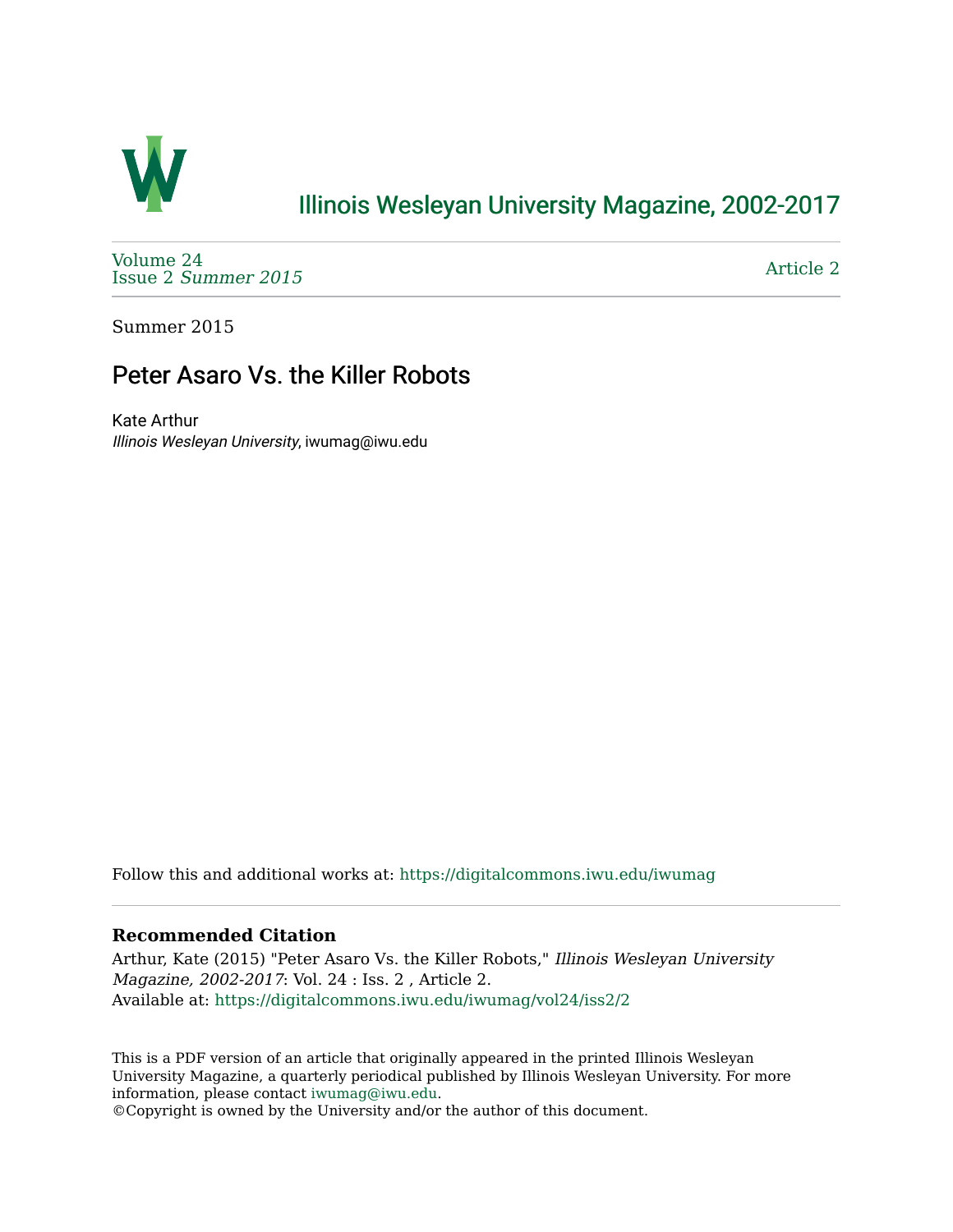

## [Illinois Wesleyan University Magazine, 2002-2017](https://digitalcommons.iwu.edu/iwumag)

[Volume 24](https://digitalcommons.iwu.edu/iwumag/vol24)  Issue 2 [Summer 2015](https://digitalcommons.iwu.edu/iwumag/vol24/iss2) 

[Article 2](https://digitalcommons.iwu.edu/iwumag/vol24/iss2/2) 

Summer 2015

# Peter Asaro Vs. the Killer Robots

Kate Arthur Illinois Wesleyan University, iwumag@iwu.edu

Follow this and additional works at: [https://digitalcommons.iwu.edu/iwumag](https://digitalcommons.iwu.edu/iwumag?utm_source=digitalcommons.iwu.edu%2Fiwumag%2Fvol24%2Fiss2%2F2&utm_medium=PDF&utm_campaign=PDFCoverPages) 

#### **Recommended Citation**

Arthur, Kate (2015) "Peter Asaro Vs. the Killer Robots," Illinois Wesleyan University Magazine, 2002-2017: Vol. 24 : Iss. 2 , Article 2. Available at: [https://digitalcommons.iwu.edu/iwumag/vol24/iss2/2](https://digitalcommons.iwu.edu/iwumag/vol24/iss2/2?utm_source=digitalcommons.iwu.edu%2Fiwumag%2Fvol24%2Fiss2%2F2&utm_medium=PDF&utm_campaign=PDFCoverPages)

This is a PDF version of an article that originally appeared in the printed Illinois Wesleyan University Magazine, a quarterly periodical published by Illinois Wesleyan University. For more information, please contact [iwumag@iwu.edu](mailto:iwumag@iwu.edu).

©Copyright is owned by the University and/or the author of this document.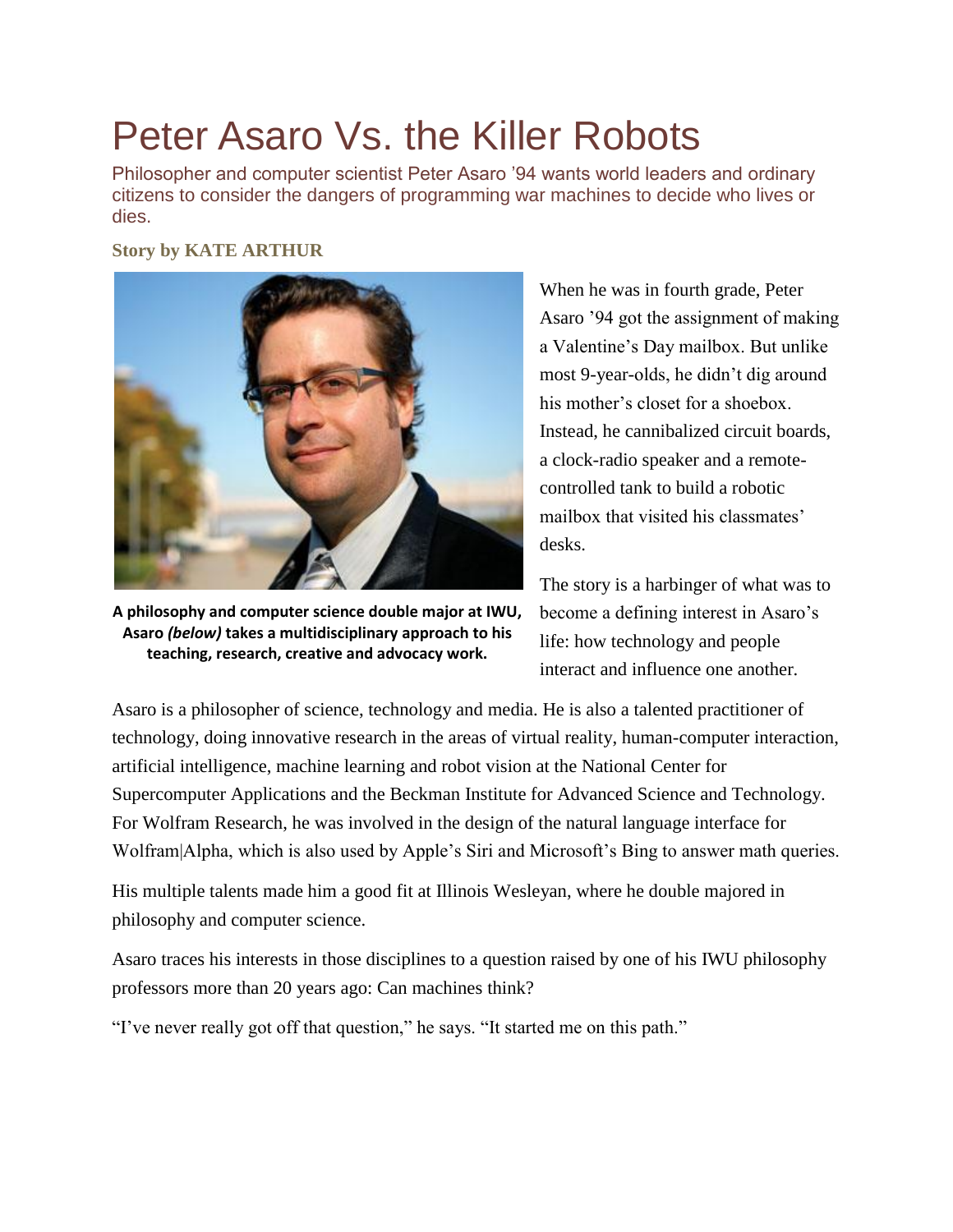# Peter Asaro Vs. the Killer Robots

Philosopher and computer scientist Peter Asaro '94 wants world leaders and ordinary citizens to consider the dangers of programming war machines to decide who lives or dies.

#### **Story by KATE ARTHUR**



**A philosophy and computer science double major at IWU, Asaro** *(below)* **takes a multidisciplinary approach to his teaching, research, creative and advocacy work.**

When he was in fourth grade, Peter Asaro '94 got the assignment of making a Valentine's Day mailbox. But unlike most 9-year-olds, he didn't dig around his mother's closet for a shoebox. Instead, he cannibalized circuit boards, a clock-radio speaker and a remotecontrolled tank to build a robotic mailbox that visited his classmates' desks.

The story is a harbinger of what was to become a defining interest in Asaro's life: how technology and people interact and influence one another.

Asaro is a philosopher of science, technology and media. He is also a talented practitioner of technology, doing innovative research in the areas of virtual reality, human-computer interaction, artificial intelligence, machine learning and robot vision at the National Center for Supercomputer Applications and the Beckman Institute for Advanced Science and Technology. For Wolfram Research, he was involved in the design of the natural language interface for Wolfram|Alpha, which is also used by Apple's Siri and Microsoft's Bing to answer math queries.

His multiple talents made him a good fit at Illinois Wesleyan, where he double majored in philosophy and computer science.

Asaro traces his interests in those disciplines to a question raised by one of his IWU philosophy professors more than 20 years ago: Can machines think?

"I've never really got off that question," he says. "It started me on this path."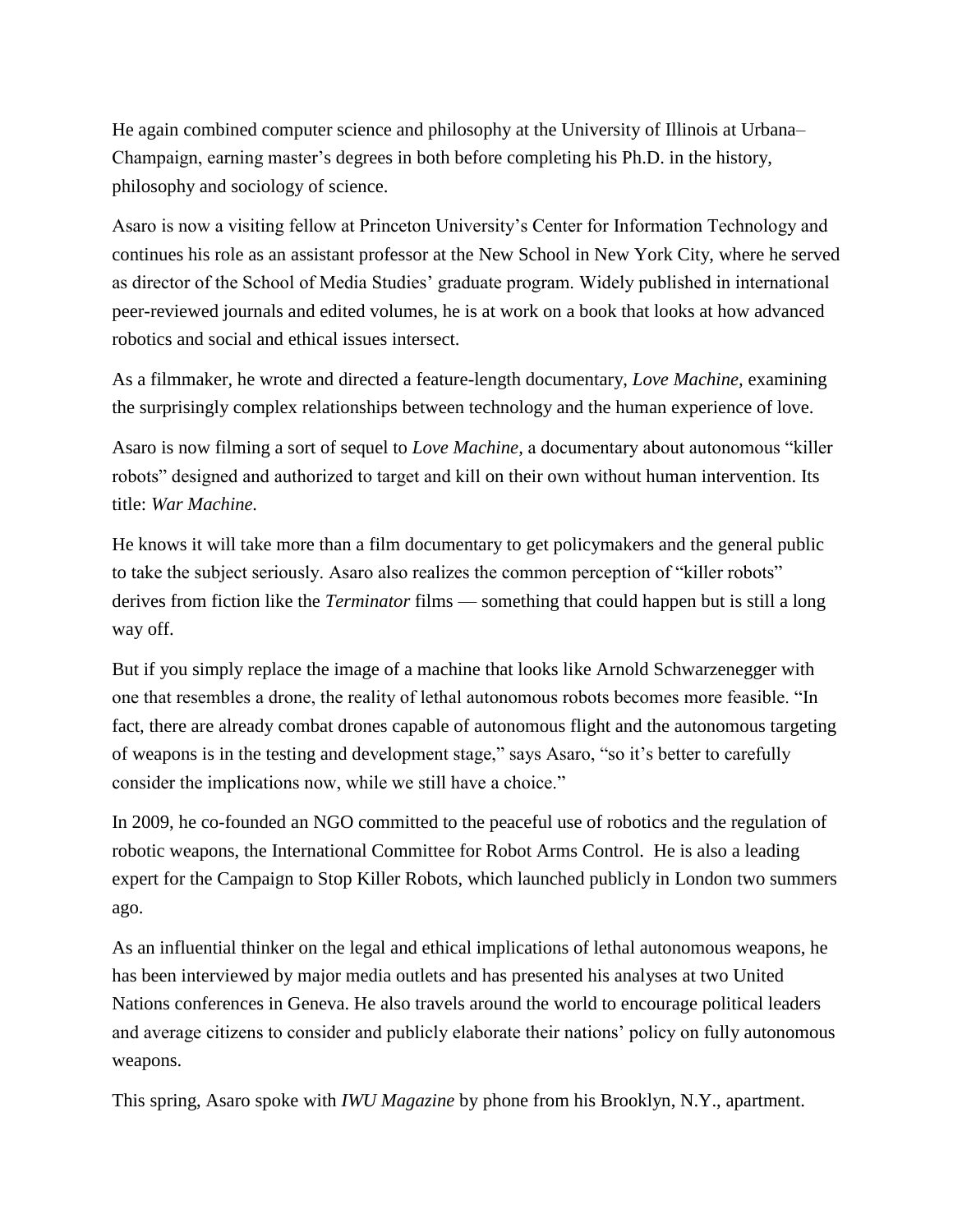He again combined computer science and philosophy at the University of Illinois at Urbana– Champaign, earning master's degrees in both before completing his Ph.D. in the history, philosophy and sociology of science.

Asaro is now a visiting fellow at Princeton University's Center for Information Technology and continues his role as an assistant professor at the New School in New York City, where he served as director of the School of Media Studies' graduate program. Widely published in international peer-reviewed journals and edited volumes, he is at work on a book that looks at how advanced robotics and social and ethical issues intersect.

As a filmmaker, he wrote and directed a feature-length documentary, *Love Machine,* examining the surprisingly complex relationships between technology and the human experience of love.

Asaro is now filming a sort of sequel to *Love Machine,* a documentary about autonomous "killer robots" designed and authorized to target and kill on their own without human intervention. Its title: *War Machine.*

He knows it will take more than a film documentary to get policymakers and the general public to take the subject seriously. Asaro also realizes the common perception of "killer robots" derives from fiction like the *Terminator* films — something that could happen but is still a long way off.

But if you simply replace the image of a machine that looks like Arnold Schwarzenegger with one that resembles a drone, the reality of lethal autonomous robots becomes more feasible. "In fact, there are already combat drones capable of autonomous flight and the autonomous targeting of weapons is in the testing and development stage," says Asaro, "so it's better to carefully consider the implications now, while we still have a choice."

In 2009, he co-founded an NGO committed to the peaceful use of robotics and the regulation of robotic weapons, the International Committee for Robot Arms Control. He is also a leading expert for the Campaign to Stop Killer Robots, which launched publicly in London two summers ago.

As an influential thinker on the legal and ethical implications of lethal autonomous weapons, he has been interviewed by major media outlets and has presented his analyses at two United Nations conferences in Geneva. He also travels around the world to encourage political leaders and average citizens to consider and publicly elaborate their nations' policy on fully autonomous weapons.

This spring, Asaro spoke with *IWU Magazine* by phone from his Brooklyn, N.Y., apartment.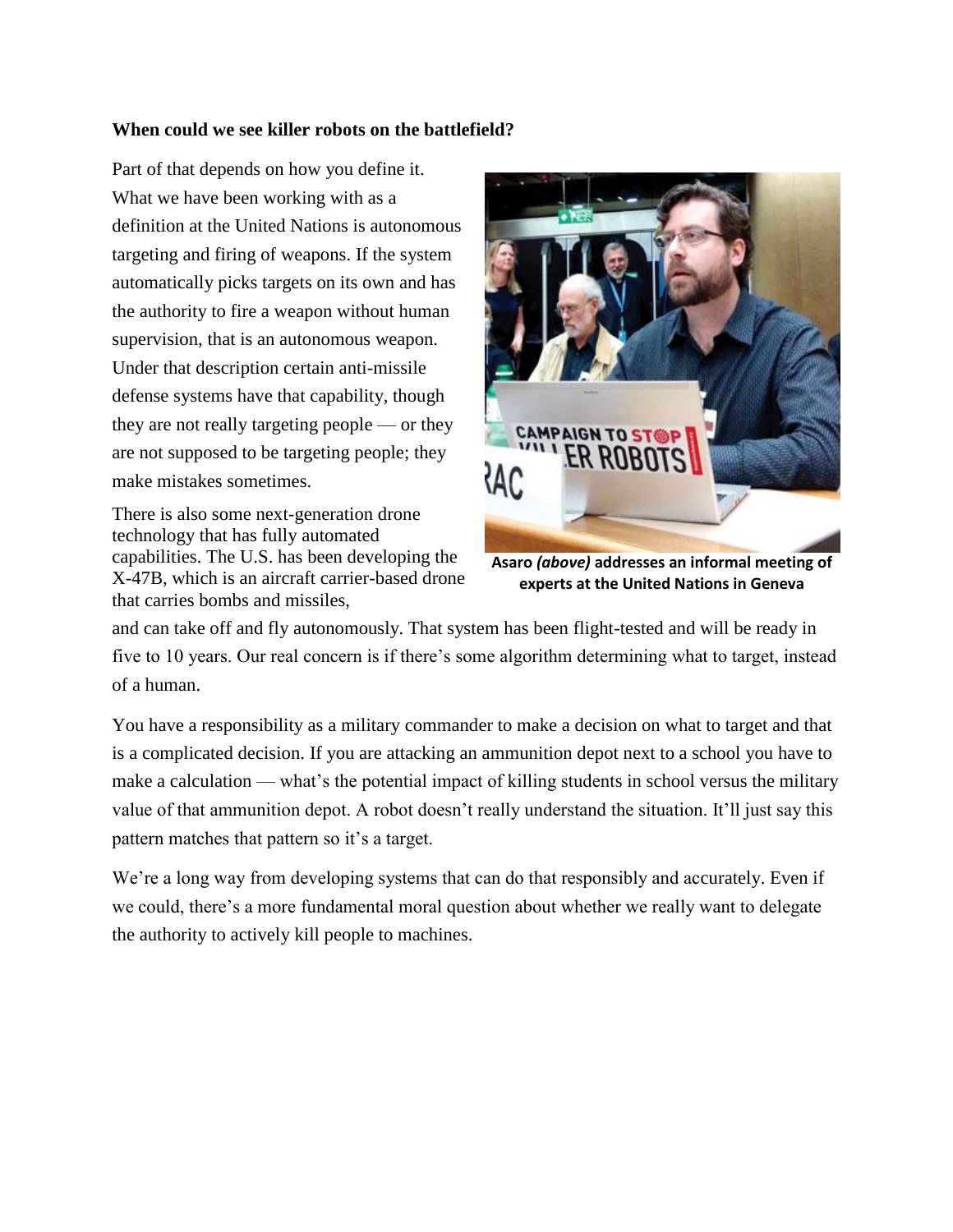#### **When could we see killer robots on the battlefield?**

Part of that depends on how you define it. What we have been working with as a definition at the United Nations is autonomous targeting and firing of weapons. If the system automatically picks targets on its own and has the authority to fire a weapon without human supervision, that is an autonomous weapon. Under that description certain anti-missile defense systems have that capability, though they are not really targeting people — or they are not supposed to be targeting people; they make mistakes sometimes.

There is also some next-generation drone technology that has fully automated capabilities. The U.S. has been developing the X-47B, which is an aircraft carrier-based drone that carries bombs and missiles,



**Asaro** *(above)* **addresses an informal meeting of experts at the United Nations in Geneva**

and can take off and fly autonomously. That system has been flight-tested and will be ready in five to 10 years. Our real concern is if there's some algorithm determining what to target, instead of a human.

You have a responsibility as a military commander to make a decision on what to target and that is a complicated decision. If you are attacking an ammunition depot next to a school you have to make a calculation — what's the potential impact of killing students in school versus the military value of that ammunition depot. A robot doesn't really understand the situation. It'll just say this pattern matches that pattern so it's a target.

We're a long way from developing systems that can do that responsibly and accurately. Even if we could, there's a more fundamental moral question about whether we really want to delegate the authority to actively kill people to machines.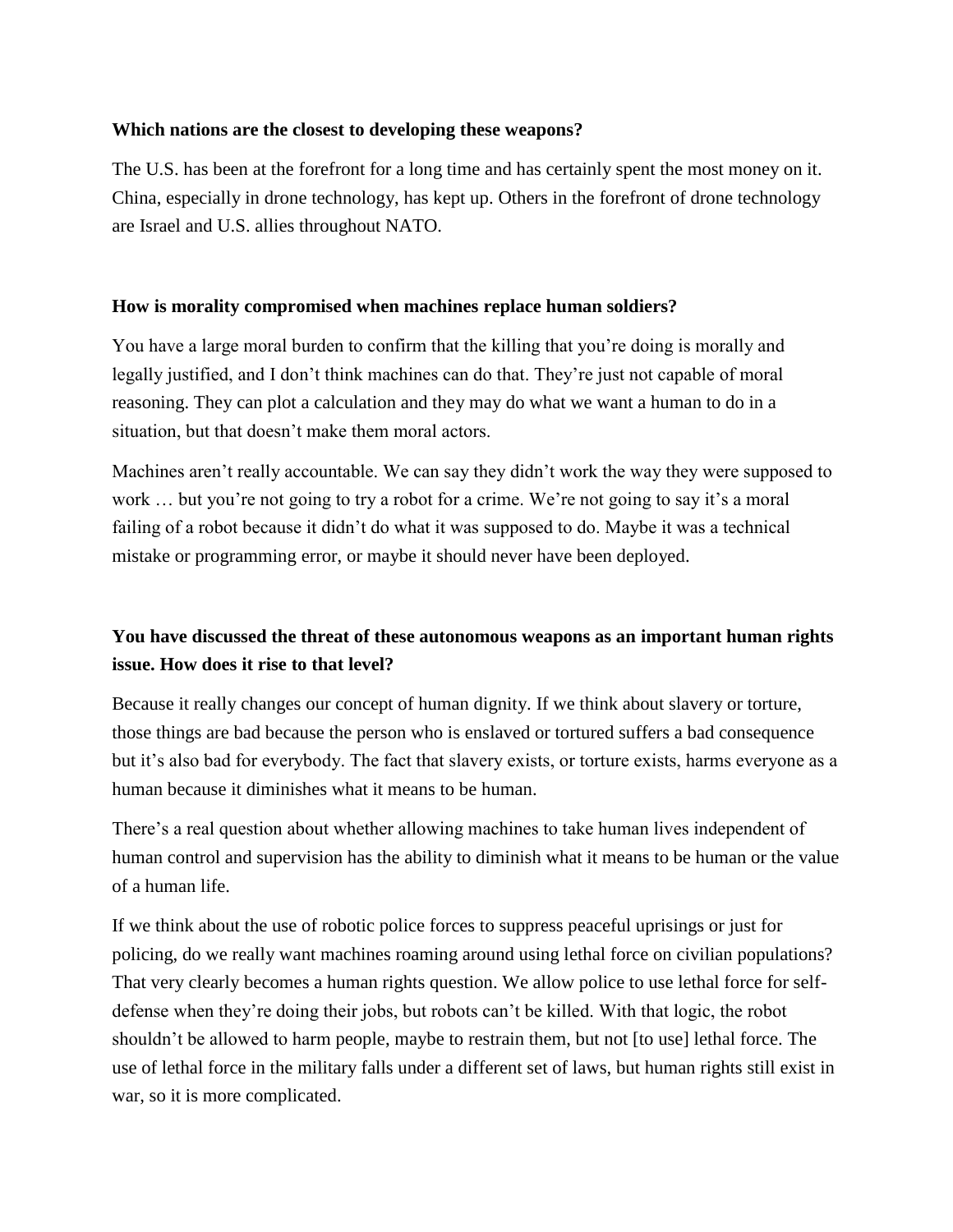#### **Which nations are the closest to developing these weapons?**

The U.S. has been at the forefront for a long time and has certainly spent the most money on it. China, especially in drone technology, has kept up. Others in the forefront of drone technology are Israel and U.S. allies throughout NATO.

#### **How is morality compromised when machines replace human soldiers?**

You have a large moral burden to confirm that the killing that you're doing is morally and legally justified, and I don't think machines can do that. They're just not capable of moral reasoning. They can plot a calculation and they may do what we want a human to do in a situation, but that doesn't make them moral actors.

Machines aren't really accountable. We can say they didn't work the way they were supposed to work ... but you're not going to try a robot for a crime. We're not going to say it's a moral failing of a robot because it didn't do what it was supposed to do. Maybe it was a technical mistake or programming error, or maybe it should never have been deployed.

## **You have discussed the threat of these autonomous weapons as an important human rights issue. How does it rise to that level?**

Because it really changes our concept of human dignity. If we think about slavery or torture, those things are bad because the person who is enslaved or tortured suffers a bad consequence but it's also bad for everybody. The fact that slavery exists, or torture exists, harms everyone as a human because it diminishes what it means to be human.

There's a real question about whether allowing machines to take human lives independent of human control and supervision has the ability to diminish what it means to be human or the value of a human life.

If we think about the use of robotic police forces to suppress peaceful uprisings or just for policing, do we really want machines roaming around using lethal force on civilian populations? That very clearly becomes a human rights question. We allow police to use lethal force for selfdefense when they're doing their jobs, but robots can't be killed. With that logic, the robot shouldn't be allowed to harm people, maybe to restrain them, but not [to use] lethal force. The use of lethal force in the military falls under a different set of laws, but human rights still exist in war, so it is more complicated.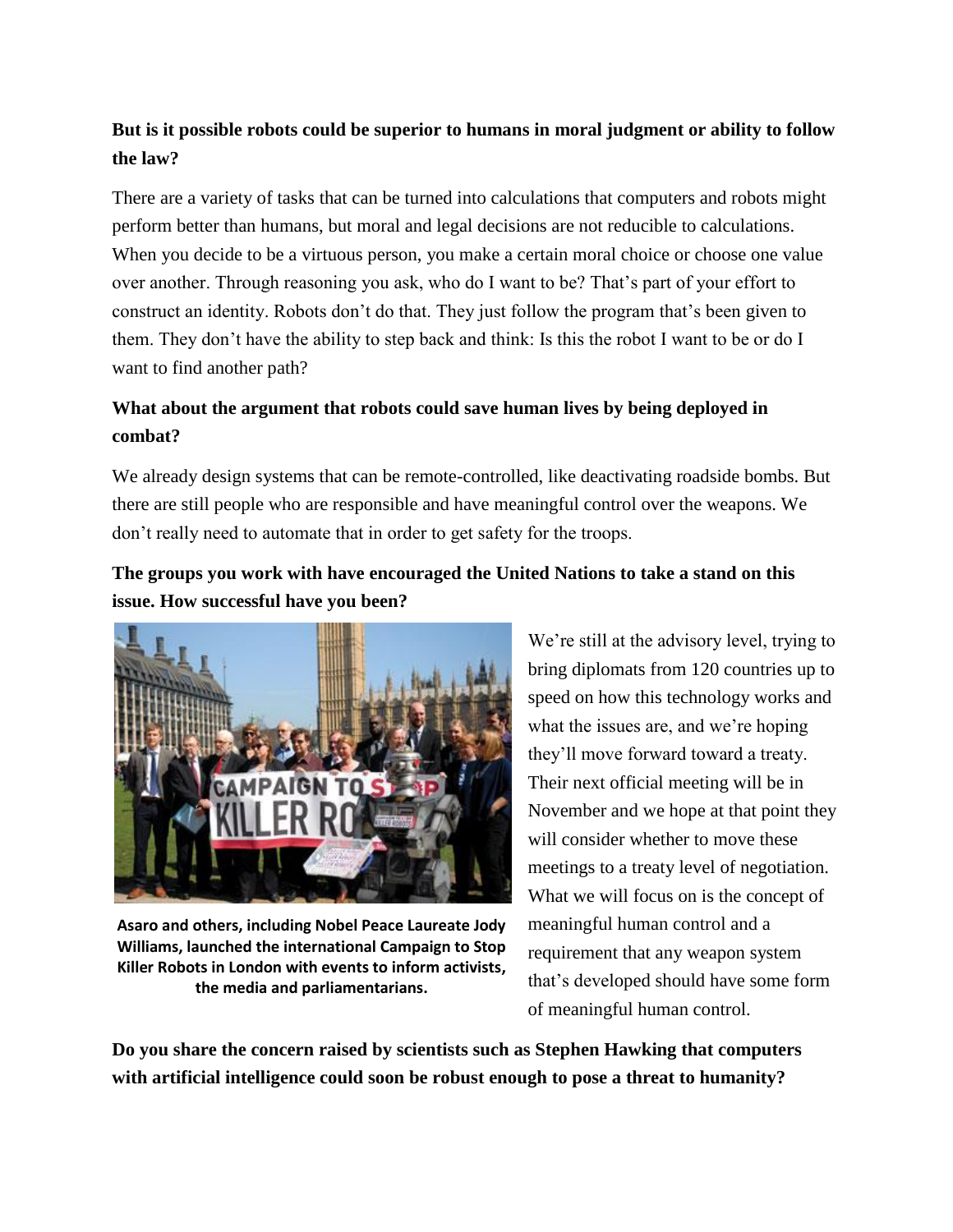## **But is it possible robots could be superior to humans in moral judgment or ability to follow the law?**

There are a variety of tasks that can be turned into calculations that computers and robots might perform better than humans, but moral and legal decisions are not reducible to calculations. When you decide to be a virtuous person, you make a certain moral choice or choose one value over another. Through reasoning you ask, who do I want to be? That's part of your effort to construct an identity. Robots don't do that. They just follow the program that's been given to them. They don't have the ability to step back and think: Is this the robot I want to be or do I want to find another path?

## **What about the argument that robots could save human lives by being deployed in combat?**

We already design systems that can be remote-controlled, like deactivating roadside bombs. But there are still people who are responsible and have meaningful control over the weapons. We don't really need to automate that in order to get safety for the troops.

## **The groups you work with have encouraged the United Nations to take a stand on this issue. How successful have you been?**



**Asaro and others, including Nobel Peace Laureate Jody Williams, launched the international Campaign to Stop Killer Robots in London with events to inform activists, the media and parliamentarians.**

We're still at the advisory level, trying to bring diplomats from 120 countries up to speed on how this technology works and what the issues are, and we're hoping they'll move forward toward a treaty. Their next official meeting will be in November and we hope at that point they will consider whether to move these meetings to a treaty level of negotiation. What we will focus on is the concept of meaningful human control and a requirement that any weapon system that's developed should have some form of meaningful human control.

**Do you share the concern raised by scientists such as Stephen Hawking that computers with artificial intelligence could soon be robust enough to pose a threat to humanity?**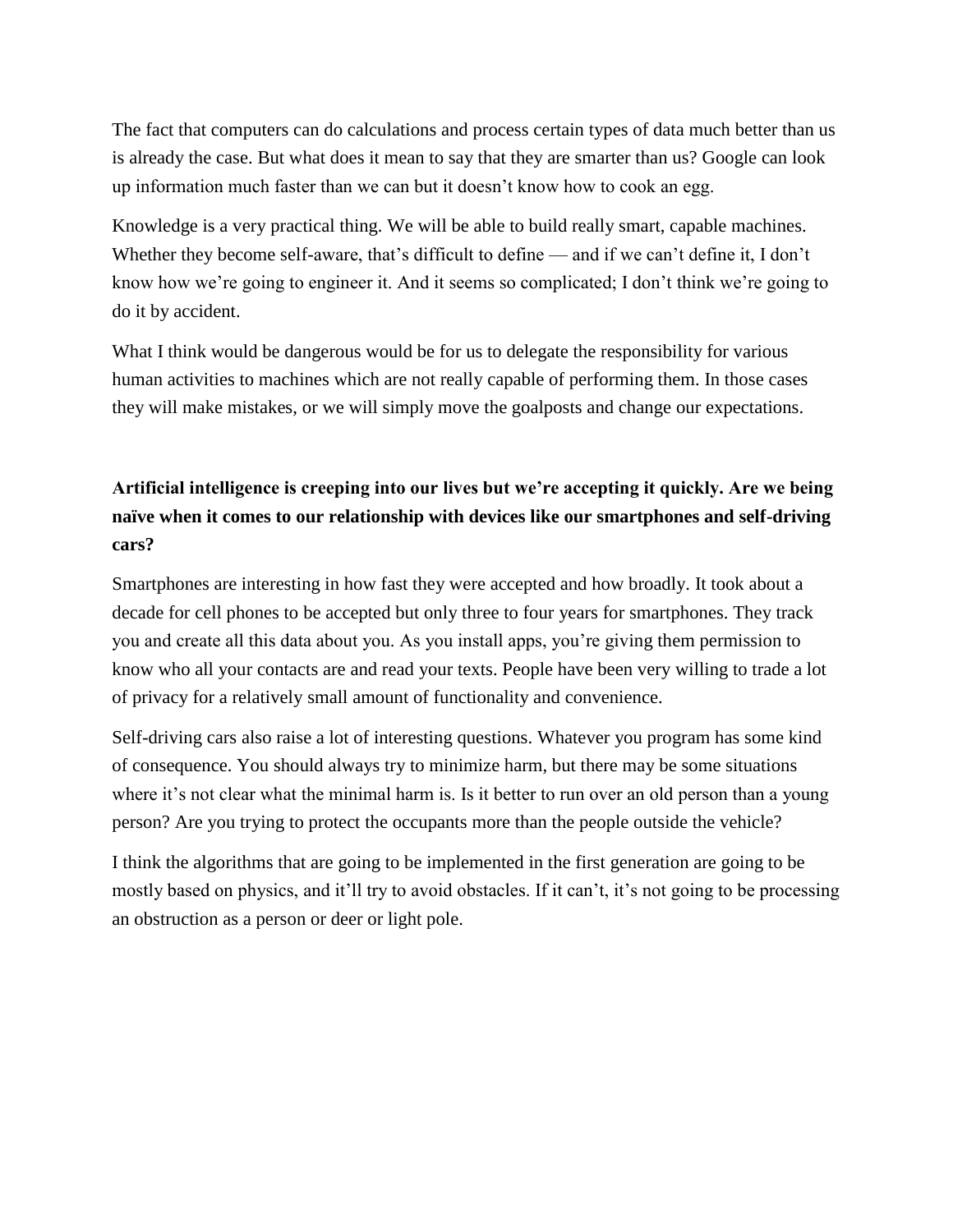The fact that computers can do calculations and process certain types of data much better than us is already the case. But what does it mean to say that they are smarter than us? Google can look up information much faster than we can but it doesn't know how to cook an egg.

Knowledge is a very practical thing. We will be able to build really smart, capable machines. Whether they become self-aware, that's difficult to define — and if we can't define it, I don't know how we're going to engineer it. And it seems so complicated; I don't think we're going to do it by accident.

What I think would be dangerous would be for us to delegate the responsibility for various human activities to machines which are not really capable of performing them. In those cases they will make mistakes, or we will simply move the goalposts and change our expectations.

## **Artificial intelligence is creeping into our lives but we're accepting it quickly. Are we being naïve when it comes to our relationship with devices like our smartphones and self-driving cars?**

Smartphones are interesting in how fast they were accepted and how broadly. It took about a decade for cell phones to be accepted but only three to four years for smartphones. They track you and create all this data about you. As you install apps, you're giving them permission to know who all your contacts are and read your texts. People have been very willing to trade a lot of privacy for a relatively small amount of functionality and convenience.

Self-driving cars also raise a lot of interesting questions. Whatever you program has some kind of consequence. You should always try to minimize harm, but there may be some situations where it's not clear what the minimal harm is. Is it better to run over an old person than a young person? Are you trying to protect the occupants more than the people outside the vehicle?

I think the algorithms that are going to be implemented in the first generation are going to be mostly based on physics, and it'll try to avoid obstacles. If it can't, it's not going to be processing an obstruction as a person or deer or light pole.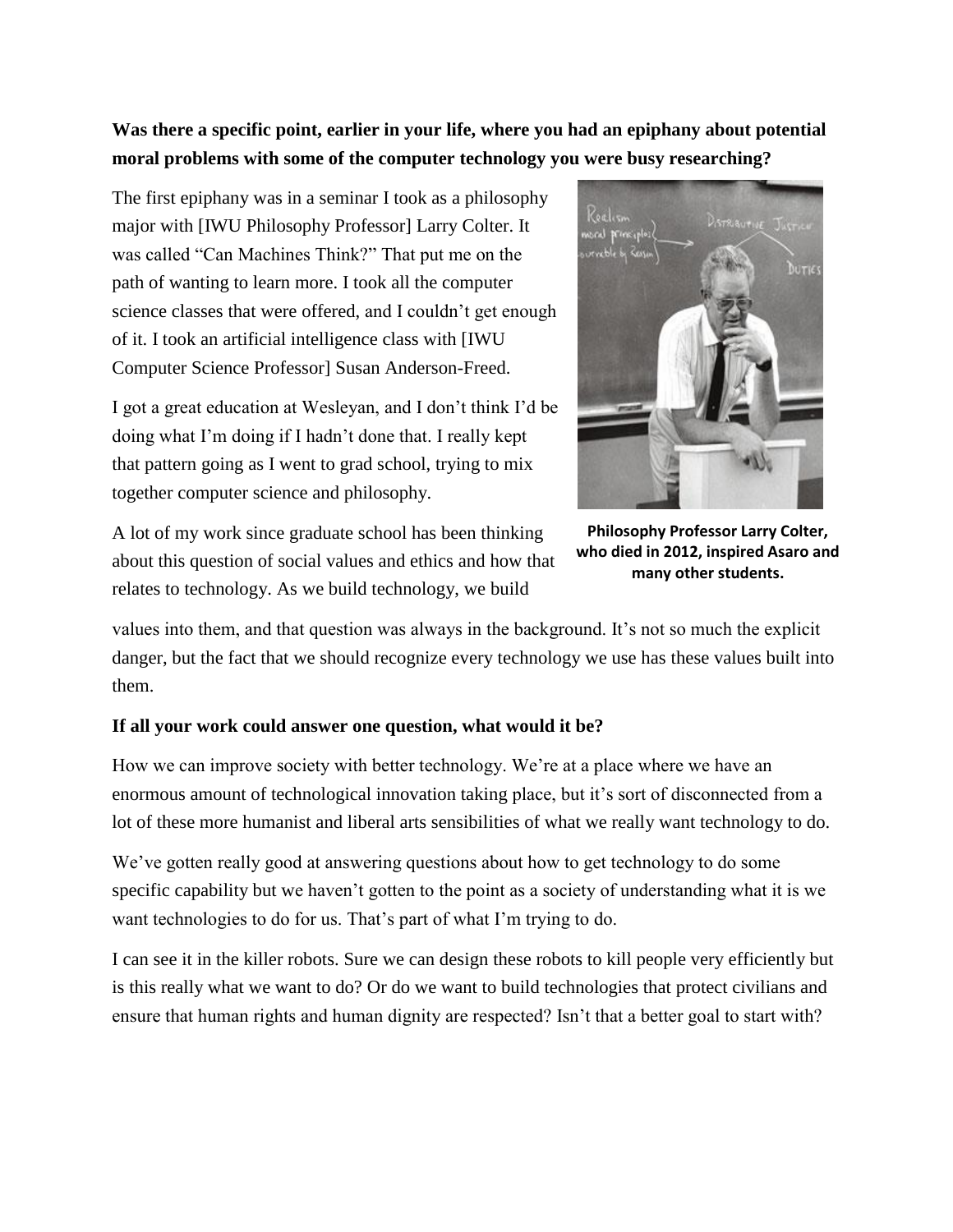**Was there a specific point, earlier in your life, where you had an epiphany about potential moral problems with some of the computer technology you were busy researching?**

The first epiphany was in a seminar I took as a philosophy major with [IWU Philosophy Professor] Larry Colter. It was called "Can Machines Think?" That put me on the path of wanting to learn more. I took all the computer science classes that were offered, and I couldn't get enough of it. I took an artificial intelligence class with [IWU Computer Science Professor] Susan Anderson-Freed.

I got a great education at Wesleyan, and I don't think I'd be doing what I'm doing if I hadn't done that. I really kept that pattern going as I went to grad school, trying to mix together computer science and philosophy.

A lot of my work since graduate school has been thinking about this question of social values and ethics and how that relates to technology. As we build technology, we build



**Philosophy Professor Larry Colter, who died in 2012, inspired Asaro and many other students.**

values into them, and that question was always in the background. It's not so much the explicit danger, but the fact that we should recognize every technology we use has these values built into them.

#### **If all your work could answer one question, what would it be?**

How we can improve society with better technology. We're at a place where we have an enormous amount of technological innovation taking place, but it's sort of disconnected from a lot of these more humanist and liberal arts sensibilities of what we really want technology to do.

We've gotten really good at answering questions about how to get technology to do some specific capability but we haven't gotten to the point as a society of understanding what it is we want technologies to do for us. That's part of what I'm trying to do.

I can see it in the killer robots. Sure we can design these robots to kill people very efficiently but is this really what we want to do? Or do we want to build technologies that protect civilians and ensure that human rights and human dignity are respected? Isn't that a better goal to start with?